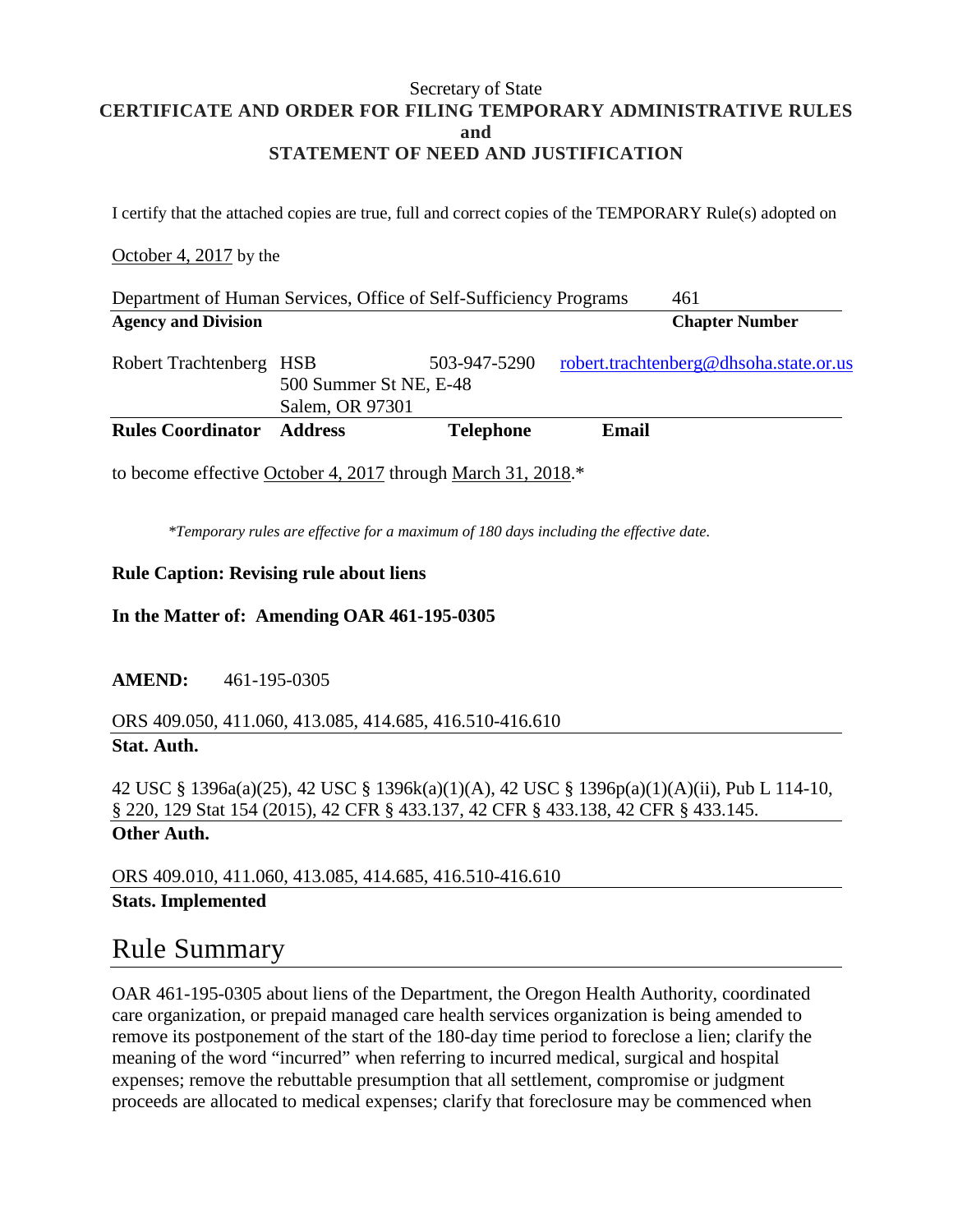### Secretary of State **CERTIFICATE AND ORDER FOR FILING TEMPORARY ADMINISTRATIVE RULES and STATEMENT OF NEED AND JUSTIFICATION**

I certify that the attached copies are true, full and correct copies of the TEMPORARY Rule(s) adopted on

### October 4, 2017 by the

| Department of Human Services, Office of Self-Sufficiency Programs |                                                         |                  |       | 461                                    |
|-------------------------------------------------------------------|---------------------------------------------------------|------------------|-------|----------------------------------------|
| <b>Agency and Division</b>                                        |                                                         |                  |       | <b>Chapter Number</b>                  |
| Robert Trachtenberg                                               | <b>HSB</b><br>500 Summer St NE, E-48<br>Salem, OR 97301 | 503-947-5290     |       | robert.trachtenberg@dhsoha.state.or.us |
| <b>Rules Coordinator</b>                                          | <b>Address</b>                                          | <b>Telephone</b> | Email |                                        |

to become effective October 4, 2017 through March 31, 2018.\*

*\*Temporary rules are effective for a maximum of 180 days including the effective date.*

### **Rule Caption: Revising rule about liens**

### **In the Matter of: Amending OAR 461-195-0305**

### **AMEND:** 461-195-0305

### ORS 409.050, 411.060, 413.085, 414.685, 416.510-416.610 **Stat. Auth.**

42 USC § 1396a(a)(25), 42 USC § 1396k(a)(1)(A), 42 USC § 1396p(a)(1)(A)(ii), Pub L 114-10, § 220, 129 Stat 154 (2015), 42 CFR § 433.137, 42 CFR § 433.138, 42 CFR § 433.145. **Other Auth.**

ORS 409.010, 411.060, 413.085, 414.685, 416.510-416.610 **Stats. Implemented**

## Rule Summary

OAR 461-195-0305 about liens of the Department, the Oregon Health Authority, coordinated care organization, or prepaid managed care health services organization is being amended to remove its postponement of the start of the 180-day time period to foreclose a lien; clarify the meaning of the word "incurred" when referring to incurred medical, surgical and hospital expenses; remove the rebuttable presumption that all settlement, compromise or judgment proceeds are allocated to medical expenses; clarify that foreclosure may be commenced when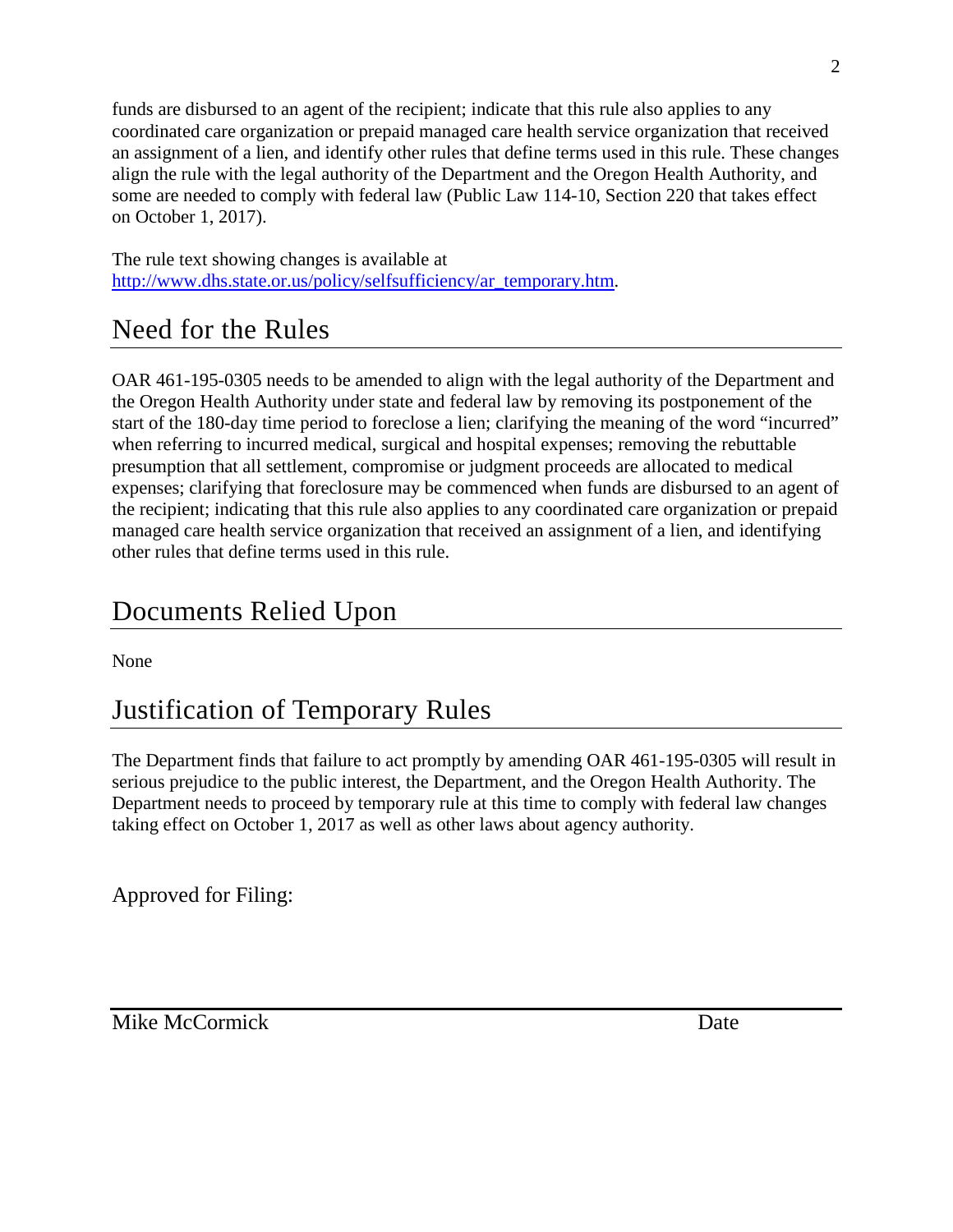funds are disbursed to an agent of the recipient; indicate that this rule also applies to any coordinated care organization or prepaid managed care health service organization that received an assignment of a lien, and identify other rules that define terms used in this rule. These changes align the rule with the legal authority of the Department and the Oregon Health Authority, and some are needed to comply with federal law (Public Law 114-10, Section 220 that takes effect on October 1, 2017).

The rule text showing changes is available at [http://www.dhs.state.or.us/policy/selfsufficiency/ar\\_temporary.htm.](http://www.dhs.state.or.us/policy/selfsufficiency/ar_temporary.htm)

# Need for the Rules

OAR 461-195-0305 needs to be amended to align with the legal authority of the Department and the Oregon Health Authority under state and federal law by removing its postponement of the start of the 180-day time period to foreclose a lien; clarifying the meaning of the word "incurred" when referring to incurred medical, surgical and hospital expenses; removing the rebuttable presumption that all settlement, compromise or judgment proceeds are allocated to medical expenses; clarifying that foreclosure may be commenced when funds are disbursed to an agent of the recipient; indicating that this rule also applies to any coordinated care organization or prepaid managed care health service organization that received an assignment of a lien, and identifying other rules that define terms used in this rule.

# Documents Relied Upon

None

# Justification of Temporary Rules

The Department finds that failure to act promptly by amending OAR 461-195-0305 will result in serious prejudice to the public interest, the Department, and the Oregon Health Authority. The Department needs to proceed by temporary rule at this time to comply with federal law changes taking effect on October 1, 2017 as well as other laws about agency authority.

Approved for Filing:

Mike McCormick Date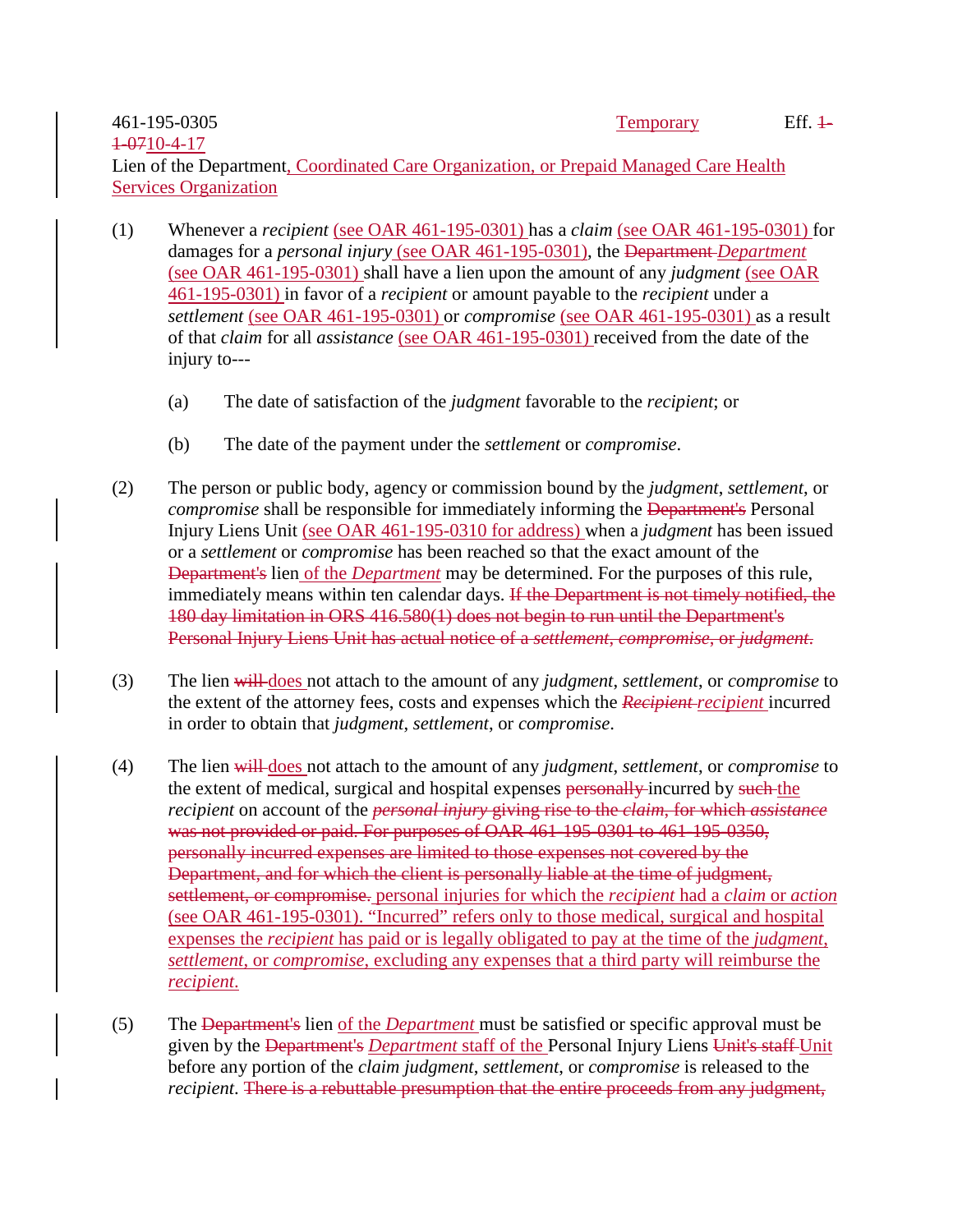#### 461-195-0305 1-0710-4-17

Lien of the Department, Coordinated Care Organization, or Prepaid Managed Care Health Services Organization

- (1) Whenever a *recipient* (see OAR 461-195-0301) has a *claim* (see OAR 461-195-0301) for damages for a *personal injury* (see OAR 461-195-0301), the Department *Department*  (see OAR 461-195-0301) shall have a lien upon the amount of any *judgment* (see OAR 461-195-0301) in favor of a *recipient* or amount payable to the *recipient* under a *settlement* (see OAR 461-195-0301) or *compromise* (see OAR 461-195-0301) as a result of that *claim* for all *assistance* (see OAR 461-195-0301) received from the date of the injury to---
	- (a) The date of satisfaction of the *judgment* favorable to the *recipient*; or
	- (b) The date of the payment under the *settlement* or *compromise*.
- (2) The person or public body, agency or commission bound by the *judgment*, *settlement*, or *compromise* shall be responsible for immediately informing the Department's Personal Injury Liens Unit (see OAR 461-195-0310 for address) when a *judgment* has been issued or a *settlement* or *compromise* has been reached so that the exact amount of the Department's lien of the *Department* may be determined. For the purposes of this rule, immediately means within ten calendar days. If the Department is not timely notified, the 180 day limitation in ORS 416.580(1) does not begin to run until the Department's Personal Injury Liens Unit has actual notice of a *settlement*, *compromise*, or *judgment*.
- (3) The lien will does not attach to the amount of any *judgment*, *settlement*, or *compromise* to the extent of the attorney fees, costs and expenses which the *Recipient recipient* incurred in order to obtain that *judgment*, *settlement*, or *compromise*.
- (4) The lien will does not attach to the amount of any *judgment*, *settlement*, or *compromise* to the extent of medical, surgical and hospital expenses personally incurred by such the *recipient* on account of the *personal injury* giving rise to the *claim*, for which *assistance* was not provided or paid. For purposes of OAR 461-195-0301 to 461-195-0350, personally incurred expenses are limited to those expenses not covered by the Department, and for which the client is personally liable at the time of judgment, settlement, or compromise. personal injuries for which the *recipient* had a *claim* or *action* (see OAR 461-195-0301). "Incurred" refers only to those medical, surgical and hospital expenses the *recipient* has paid or is legally obligated to pay at the time of the *judgment*, *settlement*, or *compromise*, excluding any expenses that a third party will reimburse the *recipient*.
- (5) The Department's lien of the *Department* must be satisfied or specific approval must be given by the Department's *Department* staff of the Personal Injury Liens Unit's staff Unit before any portion of the *claim judgment*, *settlement*, or *compromise* is released to the *recipient*. There is a rebuttable presumption that the entire proceeds from any judgment,